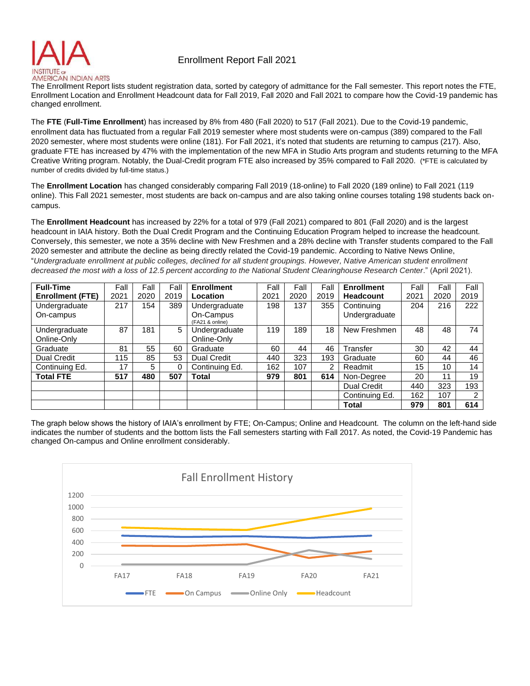

## Enrollment Report Fall 2021

The Enrollment Report lists student registration data, sorted by category of admittance for the Fall semester. This report notes the FTE, Enrollment Location and Enrollment Headcount data for Fall 2019, Fall 2020 and Fall 2021 to compare how the Covid-19 pandemic has changed enrollment.

The **FTE** (**Full-Time Enrollment**) has increased by 8% from 480 (Fall 2020) to 517 (Fall 2021). Due to the Covid-19 pandemic, enrollment data has fluctuated from a regular Fall 2019 semester where most students were on-campus (389) compared to the Fall 2020 semester, where most students were online (181). For Fall 2021, it's noted that students are returning to campus (217). Also, graduate FTE has increased by 47% with the implementation of the new MFA in Studio Arts program and students returning to the MFA Creative Writing program. Notably, the Dual-Credit program FTE also increased by 35% compared to Fall 2020. (\*FTE is calculated by number of credits divided by full-time status.)

The **Enrollment Location** has changed considerably comparing Fall 2019 (18-online) to Fall 2020 (189 online) to Fall 2021 (119 online). This Fall 2021 semester, most students are back on-campus and are also taking online courses totaling 198 students back oncampus.

The **Enrollment Headcount** has increased by 22% for a total of 979 (Fall 2021) compared to 801 (Fall 2020) and is the largest headcount in IAIA history. Both the Dual Credit Program and the Continuing Education Program helped to increase the headcount. Conversely, this semester, we note a 35% decline with New Freshmen and a 28% decline with Transfer students compared to the Fall 2020 semester and attribute the decline as being directly related the Covid-19 pandemic. According to Native News Online, "*Undergraduate enrollment at public colleges, declined for all student groupings. However, Native American student enrollment*  decreased the most with a loss of 12.5 percent according to the National Student Clearinghouse Research Center." (April 2021).

| <b>Full-Time</b>             | Fall | Fall | Fall     | <b>Enrollment</b>            | Fall | Fall | Fall | <b>Enrollment</b>  | Fall | Fall | Fall |
|------------------------------|------|------|----------|------------------------------|------|------|------|--------------------|------|------|------|
| <b>Enrollment (FTE)</b>      | 2021 | 2020 | 2019     | Location                     | 2021 | 2020 | 2019 | <b>Headcount</b>   | 2021 | 2020 | 2019 |
| Undergraduate                | 217  | 154  | 389      | Undergraduate                | 198  | 137  | 355  | Continuing         | 204  | 216  | 222  |
| On-campus                    |      |      |          | On-Campus<br>(FA21 & online) |      |      |      | Undergraduate      |      |      |      |
| Undergraduate<br>Online-Only | 87   | 181  | 5        | Undergraduate<br>Online-Only | 119  | 189  | 18   | New Freshmen       | 48   | 48   | 74   |
| Graduate                     | 81   | 55   | 60       | Graduate                     | 60   | 44   | 46   | Transfer           | 30   | 42   | 44   |
| <b>Dual Credit</b>           | 115  | 85   | 53       | <b>Dual Credit</b>           | 440  | 323  | 193  | Graduate           | 60   | 44   | 46   |
| Continuing Ed.               | 17   | 5.   | $\Omega$ | Continuing Ed.               | 162  | 107  | 2    | Readmit            | 15   | 10   | 14   |
| <b>Total FTE</b>             | 517  | 480  | 507      | <b>Total</b>                 | 979  | 801  | 614  | Non-Degree         | 20   | 11   | 19   |
|                              |      |      |          |                              |      |      |      | <b>Dual Credit</b> | 440  | 323  | 193  |
|                              |      |      |          |                              |      |      |      | Continuing Ed.     | 162  | 107  | 2    |
|                              |      |      |          |                              |      |      |      | <b>Total</b>       | 979  | 801  | 614  |

The graph below shows the history of IAIA's enrollment by FTE; On-Campus; Online and Headcount. The column on the left-hand side indicates the number of students and the bottom lists the Fall semesters starting with Fall 2017. As noted, the Covid-19 Pandemic has changed On-campus and Online enrollment considerably.

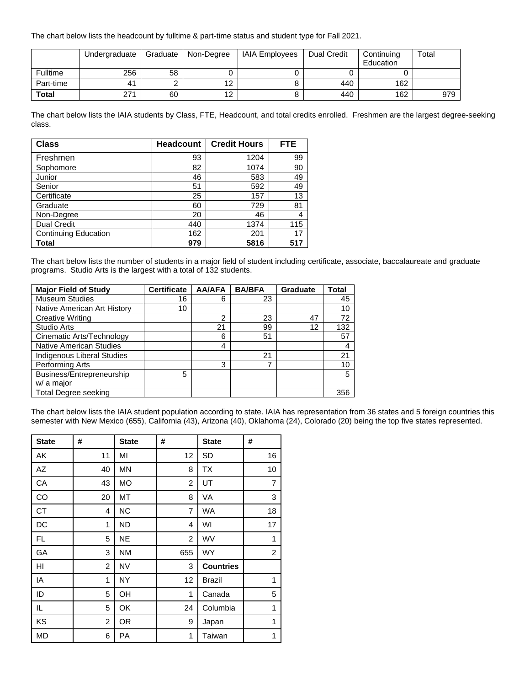The chart below lists the headcount by fulltime & part-time status and student type for Fall 2021.

|              | Undergraduate | Graduate | Non-Degree | <b>IAIA Employees</b> | Dual Credit | Continuing<br>Education | Total |
|--------------|---------------|----------|------------|-----------------------|-------------|-------------------------|-------|
| Fulltime     | 256           | 58       |            |                       |             |                         |       |
| Part-time    | 41            |          | 12         |                       | 440         | 162                     |       |
| <b>Total</b> | 271           | 60       | 12         |                       | 440         | 162                     | 979   |

The chart below lists the IAIA students by Class, FTE, Headcount, and total credits enrolled. Freshmen are the largest degree-seeking class.

| <b>Class</b>                | <b>Headcount</b> | <b>Credit Hours</b> | <b>FTE</b> |
|-----------------------------|------------------|---------------------|------------|
| Freshmen                    | 93               | 1204                | 99         |
| Sophomore                   | 82               | 1074                | 90         |
| Junior                      | 46               | 583                 | 49         |
| Senior                      | 51               | 592                 | 49         |
| Certificate                 | 25               | 157                 | 13         |
| Graduate                    | 60               | 729                 | 81         |
| Non-Degree                  | 20               | 46                  | 4          |
| <b>Dual Credit</b>          | 440              | 1374                | 115        |
| <b>Continuing Education</b> | 162              | 201                 | 17         |
| Total                       | 979              | 5816                | 517        |

The chart below lists the number of students in a major field of student including certificate, associate, baccalaureate and graduate programs. Studio Arts is the largest with a total of 132 students.

| <b>Major Field of Study</b>       | <b>Certificate</b> | <b>AA/AFA</b>  | <b>BA/BFA</b> | <b>Graduate</b> | <b>Total</b> |
|-----------------------------------|--------------------|----------------|---------------|-----------------|--------------|
| <b>Museum Studies</b>             | 16                 | 6              | 23            |                 | 45           |
| Native American Art History       | 10                 |                |               |                 | 10           |
| <b>Creative Writing</b>           |                    | $\overline{2}$ | 23            | 47              | 72           |
| Studio Arts                       |                    | 21             | 99            | 12              | 132          |
| Cinematic Arts/Technology         |                    | 6              | 51            |                 | 57           |
| <b>Native American Studies</b>    |                    | 4              |               |                 | 4            |
| <b>Indigenous Liberal Studies</b> |                    |                | 21            |                 | 21           |
| Performing Arts                   |                    | 3              | ⇁             |                 | 10           |
| Business/Entrepreneurship         | 5                  |                |               |                 | 5            |
| w/ a major                        |                    |                |               |                 |              |
| Total Degree seeking              |                    |                |               |                 | 356          |

The chart below lists the IAIA student population according to state. IAIA has representation from 36 states and 5 foreign countries this semester with New Mexico (655), California (43), Arizona (40), Oklahoma (24), Colorado (20) being the top five states represented.

| <b>State</b> | #              | <b>State</b> | #              | <b>State</b>     | #              |
|--------------|----------------|--------------|----------------|------------------|----------------|
| AK           | 11             | MI           | 12             | <b>SD</b>        | 16             |
| AZ           | 40             | <b>MN</b>    | 8              | <b>TX</b>        | 10             |
| СA           | 43             | MO           | 2              | UT               | $\overline{7}$ |
| CO           | 20             | MT           | 8              | VA               | 3              |
| CT           | 4              | <b>NC</b>    | 7              | <b>WA</b>        | 18             |
| DC           | 1              | <b>ND</b>    | 4              | WI               | 17             |
| FL.          | 5              | <b>NE</b>    | $\overline{2}$ | WV               | 1              |
| GA           | 3              | <b>NM</b>    | 655            | WY               | $\overline{2}$ |
| HI           | 2              | <b>NV</b>    | 3              | <b>Countries</b> |                |
| IA           | 1              | <b>NY</b>    | 12             | <b>Brazil</b>    | 1              |
| ID           | 5              | OH           | $\mathbf{1}$   | Canada           | 5              |
| IL.          | 5              | OK           | 24             | Columbia         | 1              |
| KS           | $\overline{2}$ | <b>OR</b>    | 9              | Japan            | 1              |
| <b>MD</b>    | 6              | PA           | $\mathbf{1}$   | Taiwan           | 1              |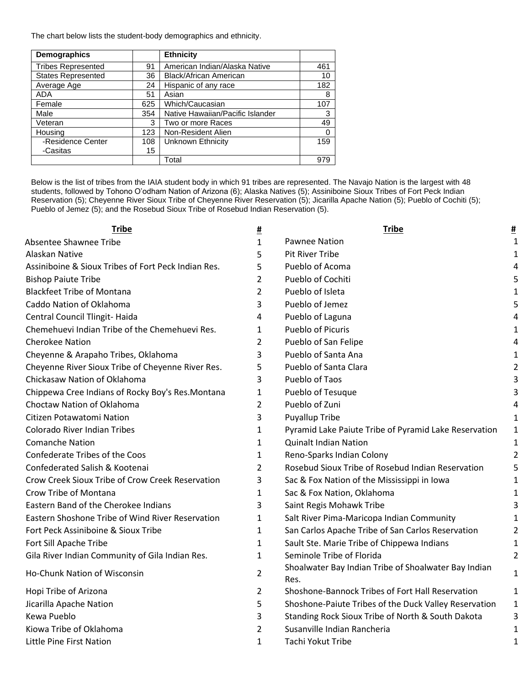The chart below lists the student-body demographics and ethnicity.

| <b>Demographics</b>       |     | <b>Ethnicity</b>                 |     |
|---------------------------|-----|----------------------------------|-----|
| <b>Tribes Represented</b> | 91  | American Indian/Alaska Native    | 461 |
| <b>States Represented</b> | 36  | <b>Black/African American</b>    | 10  |
| Average Age               | 24  | Hispanic of any race             | 182 |
| <b>ADA</b>                | 51  | Asian                            | 8   |
| Female                    | 625 | Which/Caucasian                  | 107 |
| Male                      | 354 | Native Hawaiian/Pacific Islander | 3   |
| Veteran                   | 3   | Two or more Races                | 49  |
| Housing                   | 123 | Non-Resident Alien               | 0   |
| -Residence Center         | 108 | Unknown Ethnicity                | 159 |
| -Casitas                  | 15  |                                  |     |
|                           |     | Total                            | 979 |

Below is the list of tribes from the IAIA student body in which 91 tribes are represented. The Navajo Nation is the largest with 48 students, followed by Tohono O'odham Nation of Arizona (6); Alaska Natives (5); Assiniboine Sioux Tribes of Fort Peck Indian Reservation (5); Cheyenne River Sioux Tribe of Cheyenne River Reservation (5); Jicarilla Apache Nation (5); Pueblo of Cochiti (5); Pueblo of Jemez (5); and the Rosebud Sioux Tribe of Rosebud Indian Reservation (5).

| <b>Tribe</b>                                        | <u>#</u> | <b>Tribe</b>                                                 | <u>#</u>       |
|-----------------------------------------------------|----------|--------------------------------------------------------------|----------------|
| Absentee Shawnee Tribe                              | 1        | <b>Pawnee Nation</b>                                         | 1              |
| Alaskan Native                                      | 5        | <b>Pit River Tribe</b>                                       | 1              |
| Assiniboine & Sioux Tribes of Fort Peck Indian Res. | 5        | Pueblo of Acoma                                              | 4              |
| <b>Bishop Paiute Tribe</b>                          | 2        | Pueblo of Cochiti                                            | 5              |
| <b>Blackfeet Tribe of Montana</b>                   | 2        | Pueblo of Isleta                                             | 1              |
| Caddo Nation of Oklahoma                            | 3        | Pueblo of Jemez                                              |                |
| Central Council Tlingit-Haida                       | 4        | Pueblo of Laguna                                             | 4              |
| Chemehuevi Indian Tribe of the Chemehuevi Res.      | 1        | Pueblo of Picuris                                            | 1              |
| <b>Cherokee Nation</b>                              | 2        | Pueblo of San Felipe                                         | 4              |
| Cheyenne & Arapaho Tribes, Oklahoma                 | 3        | Pueblo of Santa Ana                                          |                |
| Cheyenne River Sioux Tribe of Cheyenne River Res.   | 5        | Pueblo of Santa Clara                                        | 2              |
| Chickasaw Nation of Oklahoma                        | 3        | Pueblo of Taos                                               | 3              |
| Chippewa Cree Indians of Rocky Boy's Res. Montana   | 1        | Pueblo of Tesuque                                            | 3              |
| Choctaw Nation of Oklahoma                          | 2        | Pueblo of Zuni                                               | 4              |
| Citizen Potawatomi Nation                           | 3        | <b>Puyallup Tribe</b>                                        | 1              |
| <b>Colorado River Indian Tribes</b>                 | 1        | Pyramid Lake Paiute Tribe of Pyramid Lake Reservation        | 1              |
| <b>Comanche Nation</b>                              | 1        | <b>Quinalt Indian Nation</b>                                 | $\mathbf 1$    |
| Confederate Tribes of the Coos                      | 1        | Reno-Sparks Indian Colony                                    | 2              |
| Confederated Salish & Kootenai                      | 2        | Rosebud Sioux Tribe of Rosebud Indian Reservation            | 5              |
| Crow Creek Sioux Tribe of Crow Creek Reservation    | 3        | Sac & Fox Nation of the Mississippi in Iowa                  | 1              |
| Crow Tribe of Montana                               | 1        | Sac & Fox Nation, Oklahoma                                   |                |
| Eastern Band of the Cherokee Indians                | 3        | Saint Regis Mohawk Tribe                                     |                |
| Eastern Shoshone Tribe of Wind River Reservation    | 1        | Salt River Pima-Maricopa Indian Community                    |                |
| Fort Peck Assiniboine & Sioux Tribe                 | 1        | San Carlos Apache Tribe of San Carlos Reservation            | 2              |
| Fort Sill Apache Tribe                              | 1        | Sault Ste. Marie Tribe of Chippewa Indians                   | 1              |
| Gila River Indian Community of Gila Indian Res.     | 1        | Seminole Tribe of Florida                                    | $\overline{2}$ |
| Ho-Chunk Nation of Wisconsin                        | 2        | Shoalwater Bay Indian Tribe of Shoalwater Bay Indian<br>Res. | $\mathbf{1}$   |
| Hopi Tribe of Arizona                               | 2        | Shoshone-Bannock Tribes of Fort Hall Reservation             | 1              |
| Jicarilla Apache Nation                             | 5        | Shoshone-Paiute Tribes of the Duck Valley Reservation        | 1              |
| Kewa Pueblo                                         | 3        | Standing Rock Sioux Tribe of North & South Dakota            | 3              |
| Kiowa Tribe of Oklahoma                             | 2        | Susanville Indian Rancheria                                  | 1              |
| Little Pine First Nation                            | 1        | Tachi Yokut Tribe                                            | 1              |
|                                                     |          |                                                              |                |